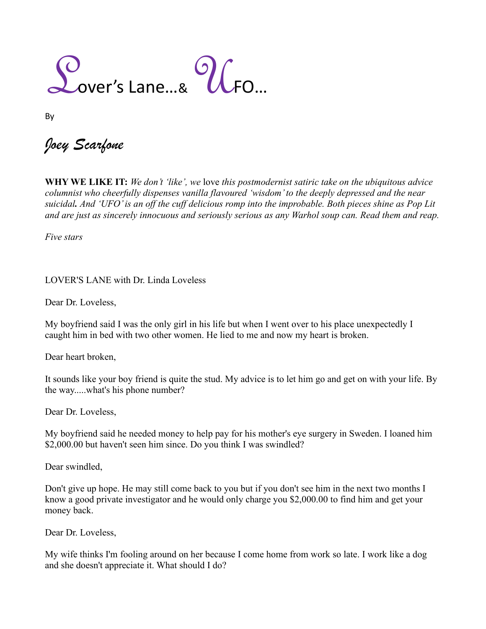$\bigcup_{\text{over's Lane...8}}$   $\bigcap_{\text{CFO...8}}$ 

By

*Joey Scarfone*

**WHY WE LIKE IT:** *We don't 'like', we* love *this postmodernist satiric take on the ubiquitous advice columnist who cheerfully dispenses vanilla flavoured 'wisdom' to the deeply depressed and the near suicidal. And 'UFO' is an off the cuff delicious romp into the improbable. Both pieces shine as Pop Lit and are just as sincerely innocuous and seriously serious as any Warhol soup can. Read them and reap.*

*Five stars* 

LOVER'S LANE with Dr. Linda Loveless

Dear Dr. Loveless,

My boyfriend said I was the only girl in his life but when I went over to his place unexpectedly I caught him in bed with two other women. He lied to me and now my heart is broken.

Dear heart broken,

It sounds like your boy friend is quite the stud. My advice is to let him go and get on with your life. By the way.....what's his phone number?

Dear Dr. Loveless,

My boyfriend said he needed money to help pay for his mother's eye surgery in Sweden. I loaned him \$2,000.00 but haven't seen him since. Do you think I was swindled?

Dear swindled,

Don't give up hope. He may still come back to you but if you don't see him in the next two months I know a good private investigator and he would only charge you \$2,000.00 to find him and get your money back.

Dear Dr. Loveless,

My wife thinks I'm fooling around on her because I come home from work so late. I work like a dog and she doesn't appreciate it. What should I do?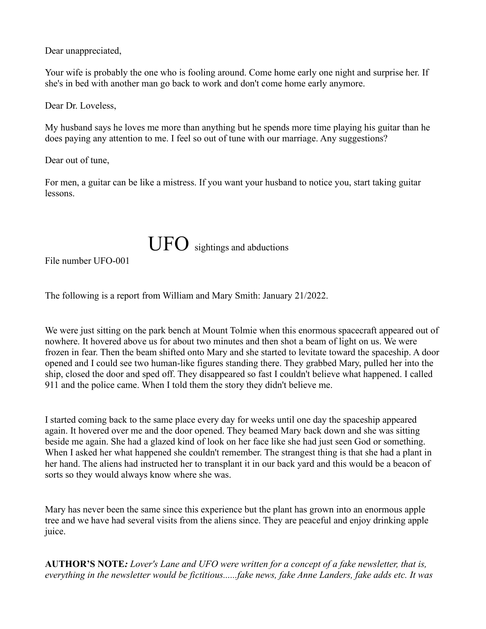Dear unappreciated,

Your wife is probably the one who is fooling around. Come home early one night and surprise her. If she's in bed with another man go back to work and don't come home early anymore.

Dear Dr. Loveless,

My husband says he loves me more than anything but he spends more time playing his guitar than he does paying any attention to me. I feel so out of tune with our marriage. Any suggestions?

Dear out of tune,

For men, a guitar can be like a mistress. If you want your husband to notice you, start taking guitar lessons.



File number UFO-001

The following is a report from William and Mary Smith: January 21/2022.

We were just sitting on the park bench at Mount Tolmie when this enormous spacecraft appeared out of nowhere. It hovered above us for about two minutes and then shot a beam of light on us. We were frozen in fear. Then the beam shifted onto Mary and she started to levitate toward the spaceship. A door opened and I could see two human-like figures standing there. They grabbed Mary, pulled her into the ship, closed the door and sped off. They disappeared so fast I couldn't believe what happened. I called 911 and the police came. When I told them the story they didn't believe me.

I started coming back to the same place every day for weeks until one day the spaceship appeared again. It hovered over me and the door opened. They beamed Mary back down and she was sitting beside me again. She had a glazed kind of look on her face like she had just seen God or something. When I asked her what happened she couldn't remember. The strangest thing is that she had a plant in her hand. The aliens had instructed her to transplant it in our back yard and this would be a beacon of sorts so they would always know where she was.

Mary has never been the same since this experience but the plant has grown into an enormous apple tree and we have had several visits from the aliens since. They are peaceful and enjoy drinking apple juice.

**AUTHOR'S NOTE***: Lover's Lane and UFO were written for a concept of a fake newsletter, that is, everything in the newsletter would be fictitious......fake news, fake Anne Landers, fake adds etc. It was*